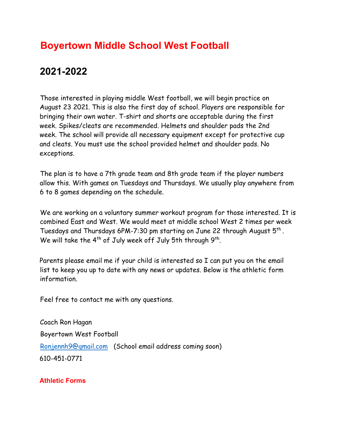## **Boyertown Middle School West Football**

## **2021-2022**

Those interested in playing middle West football, we will begin practice on August 23 2021. This is also the first day of school. Players are responsible for bringing their own water. T-shirt and shorts are acceptable during the first week. Spikes/cleats are recommended. Helmets and shoulder pads the 2nd week. The school will provide all necessary equipment except for protective cup and cleats. You must use the school provided helmet and shoulder pads. No exceptions.

The plan is to have a 7th grade team and 8th grade team if the player numbers allow this. With games on Tuesdays and Thursdays. We usually play anywhere from 6 to 8 games depending on the schedule.

We are working on a voluntary summer workout program for those interested. It is combined East and West. We would meet at middle school West 2 times per week Tuesdays and Thursdays 6PM-7:30 pm starting on June 22 through August 5th . We will take the  $4^{th}$  of July week off July 5th through  $9^{th}$ .

Parents please email me if your child is interested so I can put you on the email list to keep you up to date with any news or updates. Below is the athletic form information.

Feel free to contact me with any questions.

Coach Ron Hagan Boyertown West Football [Ronjennh9@gmail.com](mailto:Ronjennh9@gmail.com) (School email address coming soon) 610-451-0771

**Athletic Forms**